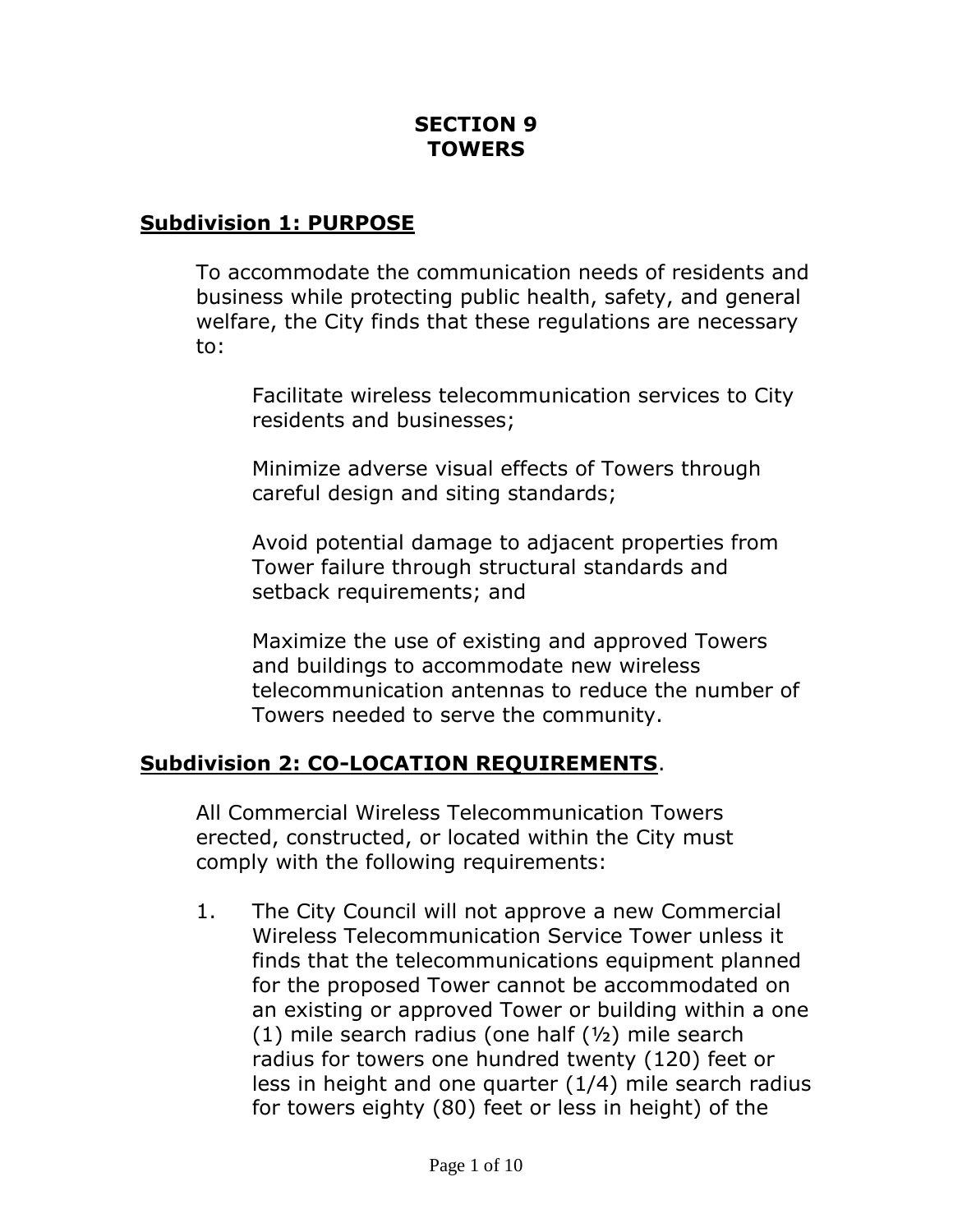## **SECTION 9 TOWERS**

#### **Subdivision 1: PURPOSE**

To accommodate the communication needs of residents and business while protecting public health, safety, and general welfare, the City finds that these regulations are necessary to:

Facilitate wireless telecommunication services to City residents and businesses;

Minimize adverse visual effects of Towers through careful design and siting standards;

Avoid potential damage to adjacent properties from Tower failure through structural standards and setback requirements; and

Maximize the use of existing and approved Towers and buildings to accommodate new wireless telecommunication antennas to reduce the number of Towers needed to serve the community.

#### **Subdivision 2: CO-LOCATION REQUIREMENTS**.

All Commercial Wireless Telecommunication Towers erected, constructed, or located within the City must comply with the following requirements:

1. The City Council will not approve a new Commercial Wireless Telecommunication Service Tower unless it finds that the telecommunications equipment planned for the proposed Tower cannot be accommodated on an existing or approved Tower or building within a one  $(1)$  mile search radius (one half  $(1/2)$  mile search radius for towers one hundred twenty (120) feet or less in height and one quarter (1/4) mile search radius for towers eighty (80) feet or less in height) of the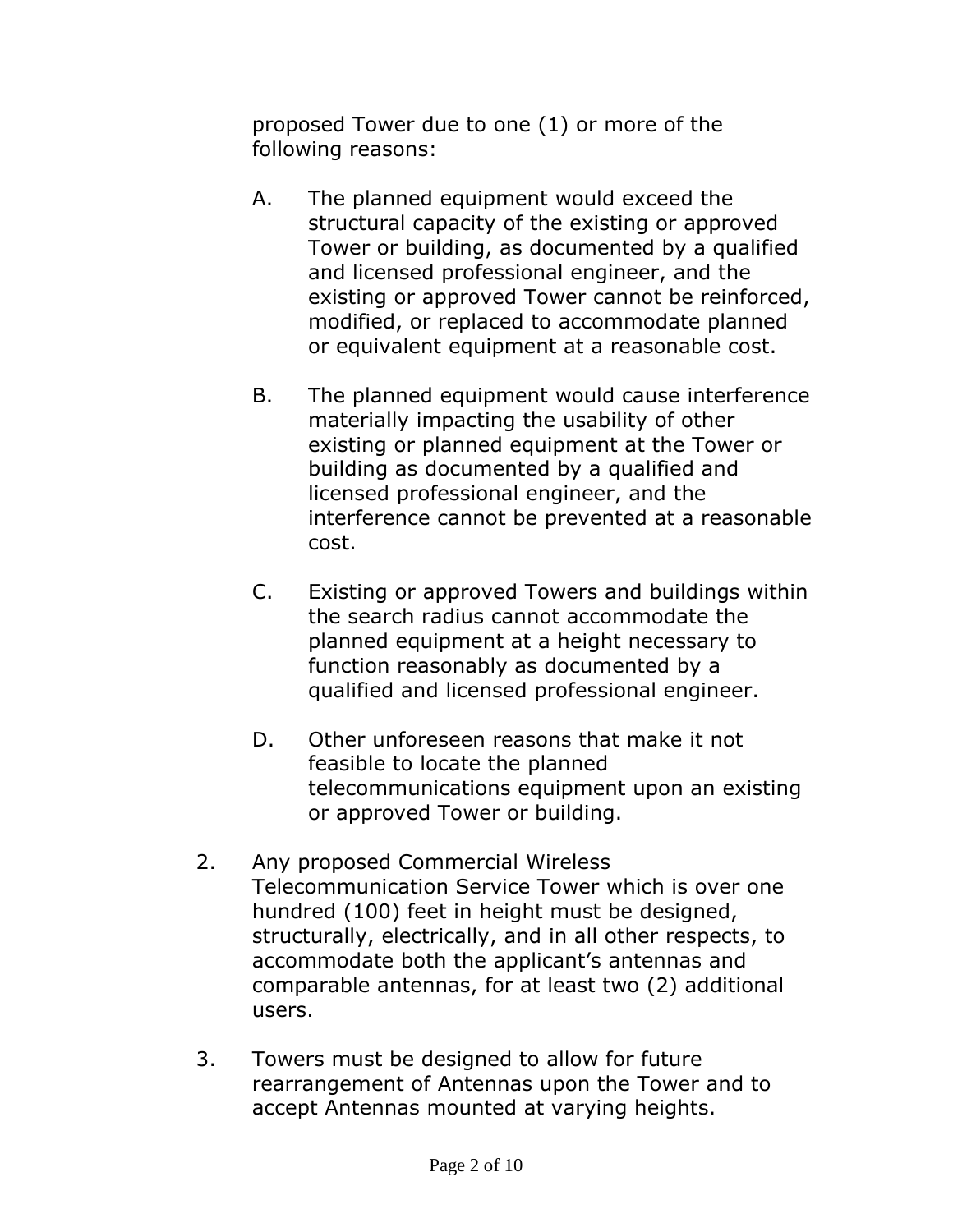proposed Tower due to one (1) or more of the following reasons:

- A. The planned equipment would exceed the structural capacity of the existing or approved Tower or building, as documented by a qualified and licensed professional engineer, and the existing or approved Tower cannot be reinforced, modified, or replaced to accommodate planned or equivalent equipment at a reasonable cost.
- B. The planned equipment would cause interference materially impacting the usability of other existing or planned equipment at the Tower or building as documented by a qualified and licensed professional engineer, and the interference cannot be prevented at a reasonable cost.
- C. Existing or approved Towers and buildings within the search radius cannot accommodate the planned equipment at a height necessary to function reasonably as documented by a qualified and licensed professional engineer.
- D. Other unforeseen reasons that make it not feasible to locate the planned telecommunications equipment upon an existing or approved Tower or building.
- 2. Any proposed Commercial Wireless Telecommunication Service Tower which is over one hundred (100) feet in height must be designed, structurally, electrically, and in all other respects, to accommodate both the applicant's antennas and comparable antennas, for at least two (2) additional users.
- 3. Towers must be designed to allow for future rearrangement of Antennas upon the Tower and to accept Antennas mounted at varying heights.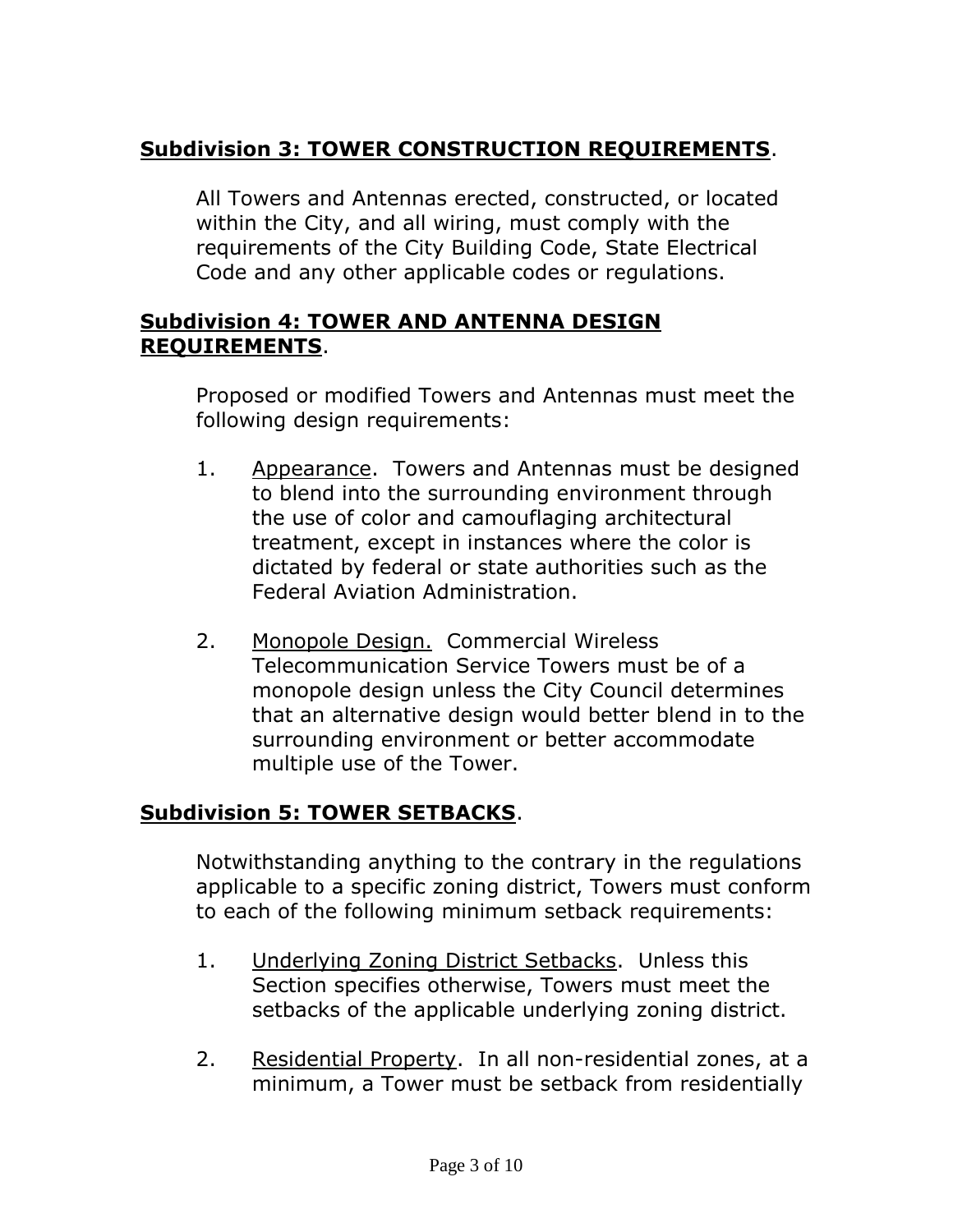# **Subdivision 3: TOWER CONSTRUCTION REQUIREMENTS**.

All Towers and Antennas erected, constructed, or located within the City, and all wiring, must comply with the requirements of the City Building Code, State Electrical Code and any other applicable codes or regulations.

### **Subdivision 4: TOWER AND ANTENNA DESIGN REQUIREMENTS**.

Proposed or modified Towers and Antennas must meet the following design requirements:

- 1. Appearance. Towers and Antennas must be designed to blend into the surrounding environment through the use of color and camouflaging architectural treatment, except in instances where the color is dictated by federal or state authorities such as the Federal Aviation Administration.
- 2. Monopole Design. Commercial Wireless Telecommunication Service Towers must be of a monopole design unless the City Council determines that an alternative design would better blend in to the surrounding environment or better accommodate multiple use of the Tower.

## **Subdivision 5: TOWER SETBACKS**.

Notwithstanding anything to the contrary in the regulations applicable to a specific zoning district, Towers must conform to each of the following minimum setback requirements:

- 1. Underlying Zoning District Setbacks. Unless this Section specifies otherwise, Towers must meet the setbacks of the applicable underlying zoning district.
- 2. Residential Property. In all non-residential zones, at a minimum, a Tower must be setback from residentially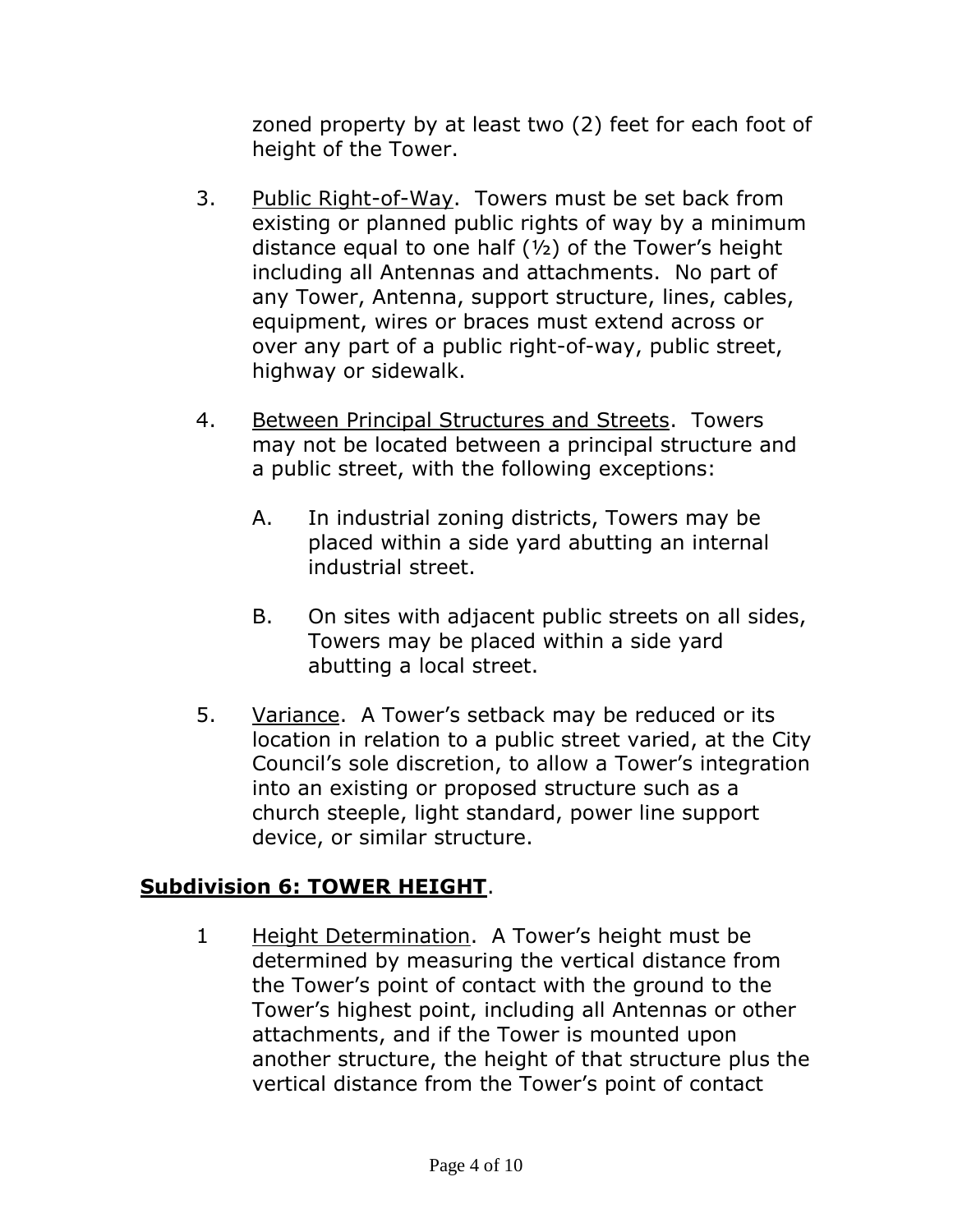zoned property by at least two (2) feet for each foot of height of the Tower.

- 3. Public Right-of-Way. Towers must be set back from existing or planned public rights of way by a minimum distance equal to one half  $(y_2)$  of the Tower's height including all Antennas and attachments. No part of any Tower, Antenna, support structure, lines, cables, equipment, wires or braces must extend across or over any part of a public right-of-way, public street, highway or sidewalk.
- 4. Between Principal Structures and Streets. Towers may not be located between a principal structure and a public street, with the following exceptions:
	- A. In industrial zoning districts, Towers may be placed within a side yard abutting an internal industrial street.
	- B. On sites with adjacent public streets on all sides, Towers may be placed within a side yard abutting a local street.
- 5. Variance. A Tower's setback may be reduced or its location in relation to a public street varied, at the City Council's sole discretion, to allow a Tower's integration into an existing or proposed structure such as a church steeple, light standard, power line support device, or similar structure.

## **Subdivision 6: TOWER HEIGHT**.

1 Height Determination. A Tower's height must be determined by measuring the vertical distance from the Tower's point of contact with the ground to the Tower's highest point, including all Antennas or other attachments, and if the Tower is mounted upon another structure, the height of that structure plus the vertical distance from the Tower's point of contact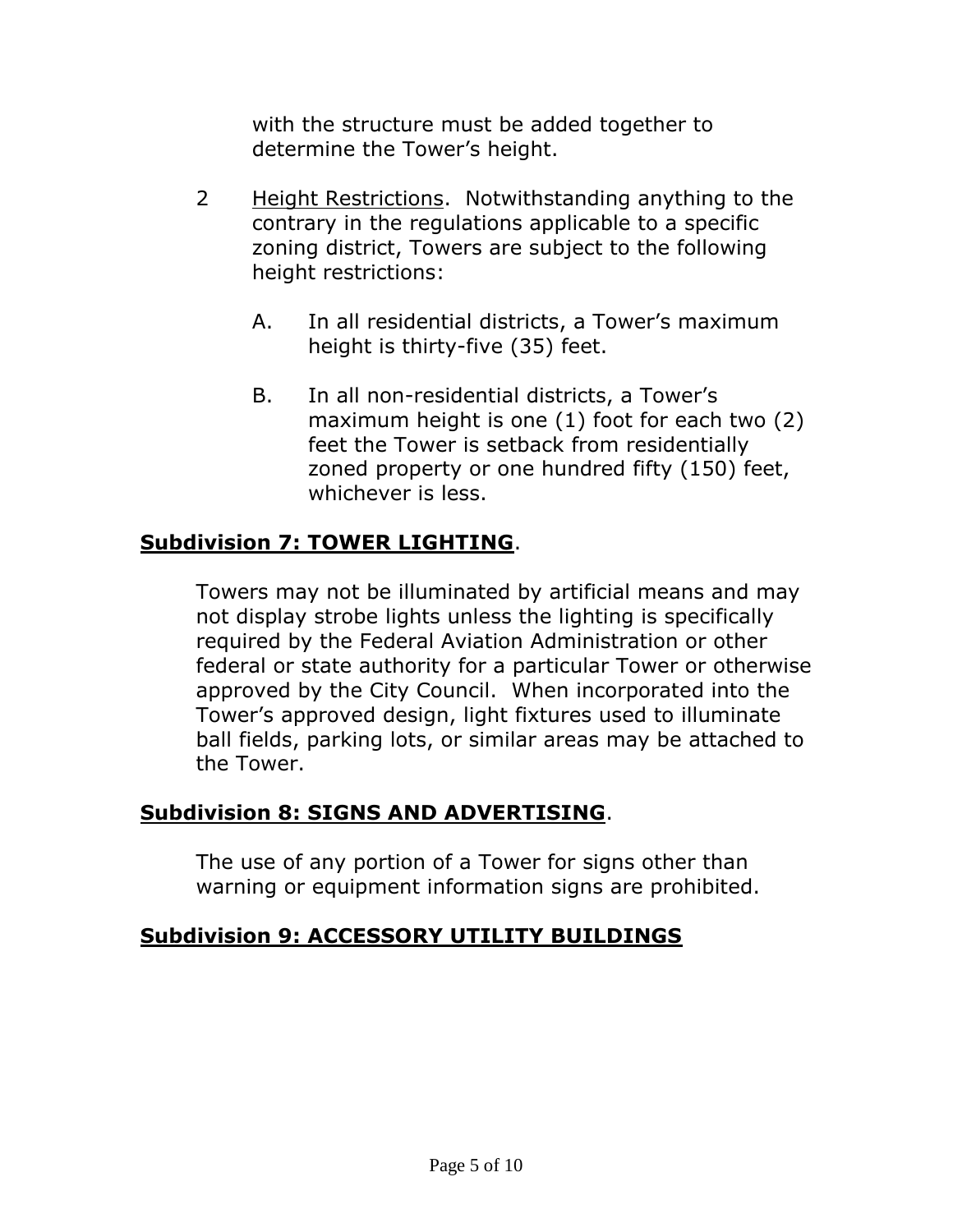with the structure must be added together to determine the Tower's height.

- 2 Height Restrictions. Notwithstanding anything to the contrary in the regulations applicable to a specific zoning district, Towers are subject to the following height restrictions:
	- A. In all residential districts, a Tower's maximum height is thirty-five (35) feet.
	- B. In all non-residential districts, a Tower's maximum height is one (1) foot for each two (2) feet the Tower is setback from residentially zoned property or one hundred fifty (150) feet, whichever is less.

## **Subdivision 7: TOWER LIGHTING**.

Towers may not be illuminated by artificial means and may not display strobe lights unless the lighting is specifically required by the Federal Aviation Administration or other federal or state authority for a particular Tower or otherwise approved by the City Council. When incorporated into the Tower's approved design, light fixtures used to illuminate ball fields, parking lots, or similar areas may be attached to the Tower.

## **Subdivision 8: SIGNS AND ADVERTISING**.

The use of any portion of a Tower for signs other than warning or equipment information signs are prohibited.

#### **Subdivision 9: ACCESSORY UTILITY BUILDINGS**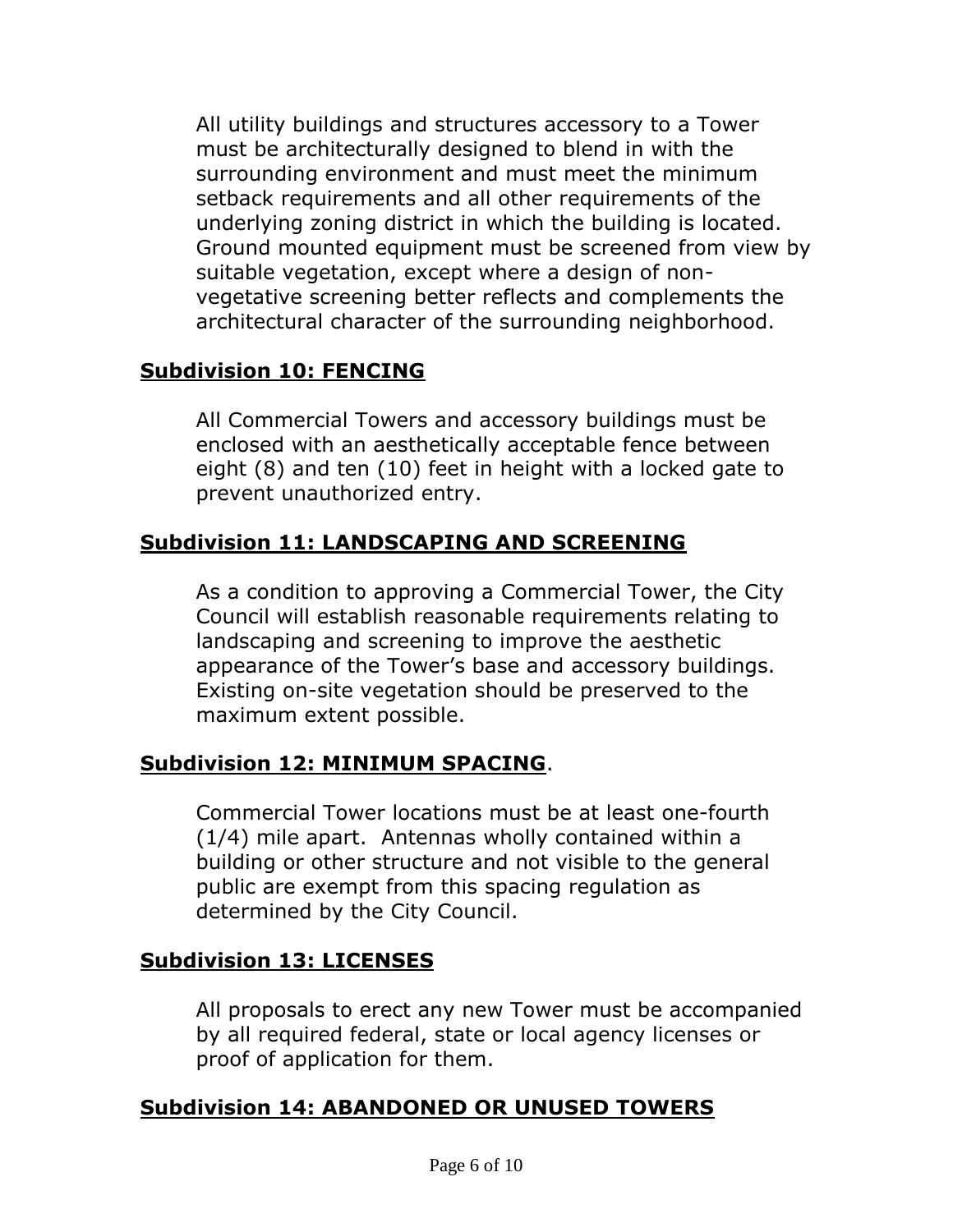All utility buildings and structures accessory to a Tower must be architecturally designed to blend in with the surrounding environment and must meet the minimum setback requirements and all other requirements of the underlying zoning district in which the building is located. Ground mounted equipment must be screened from view by suitable vegetation, except where a design of nonvegetative screening better reflects and complements the architectural character of the surrounding neighborhood.

## **Subdivision 10: FENCING**

All Commercial Towers and accessory buildings must be enclosed with an aesthetically acceptable fence between eight (8) and ten (10) feet in height with a locked gate to prevent unauthorized entry.

## **Subdivision 11: LANDSCAPING AND SCREENING**

As a condition to approving a Commercial Tower, the City Council will establish reasonable requirements relating to landscaping and screening to improve the aesthetic appearance of the Tower's base and accessory buildings. Existing on-site vegetation should be preserved to the maximum extent possible.

# **Subdivision 12: MINIMUM SPACING**.

Commercial Tower locations must be at least one-fourth (1/4) mile apart. Antennas wholly contained within a building or other structure and not visible to the general public are exempt from this spacing regulation as determined by the City Council.

## **Subdivision 13: LICENSES**

All proposals to erect any new Tower must be accompanied by all required federal, state or local agency licenses or proof of application for them.

## **Subdivision 14: ABANDONED OR UNUSED TOWERS**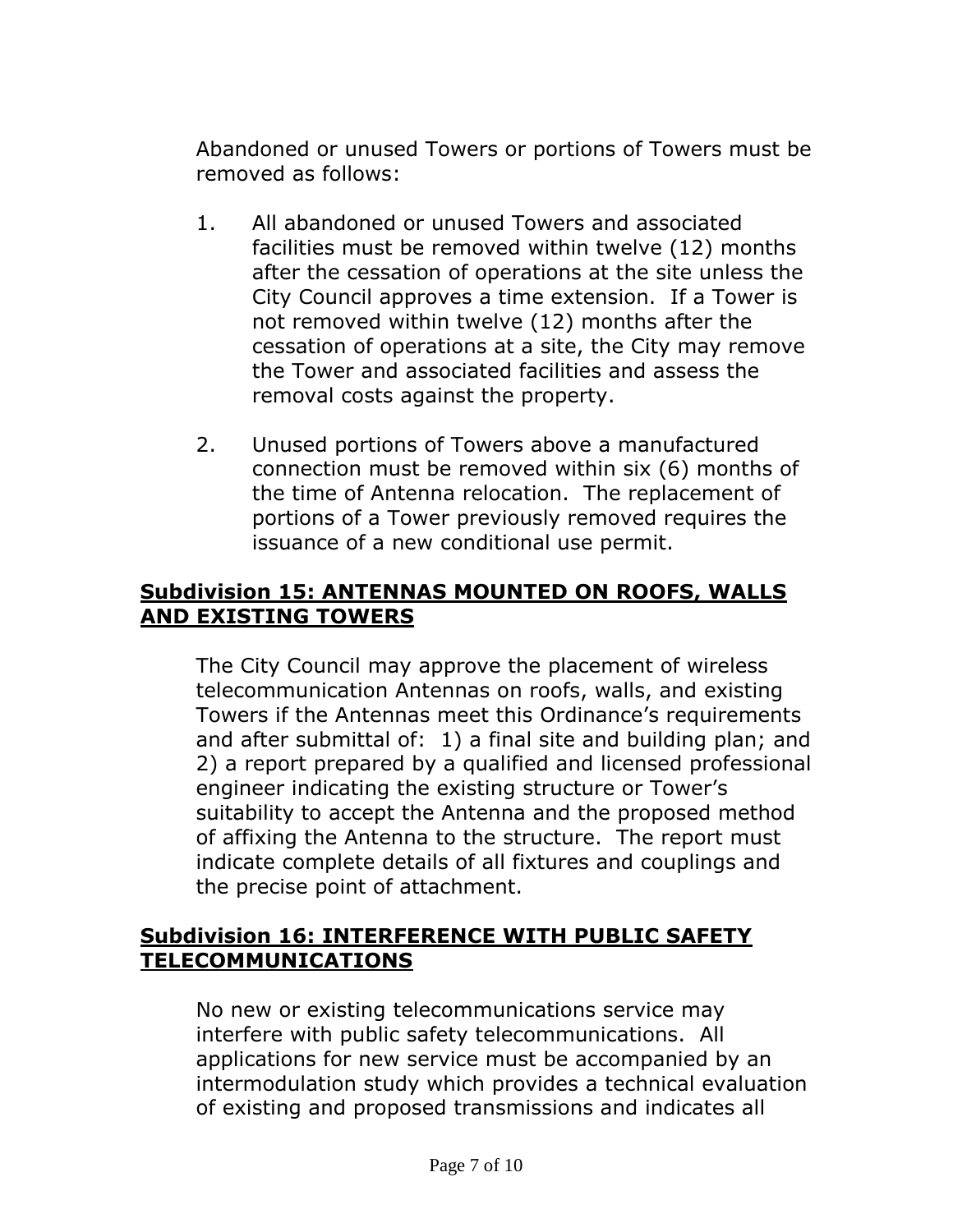Abandoned or unused Towers or portions of Towers must be removed as follows:

- 1. All abandoned or unused Towers and associated facilities must be removed within twelve (12) months after the cessation of operations at the site unless the City Council approves a time extension. If a Tower is not removed within twelve (12) months after the cessation of operations at a site, the City may remove the Tower and associated facilities and assess the removal costs against the property.
- 2. Unused portions of Towers above a manufactured connection must be removed within six (6) months of the time of Antenna relocation. The replacement of portions of a Tower previously removed requires the issuance of a new conditional use permit.

### **Subdivision 15: ANTENNAS MOUNTED ON ROOFS, WALLS AND EXISTING TOWERS**

The City Council may approve the placement of wireless telecommunication Antennas on roofs, walls, and existing Towers if the Antennas meet this Ordinance's requirements and after submittal of: 1) a final site and building plan; and 2) a report prepared by a qualified and licensed professional engineer indicating the existing structure or Tower's suitability to accept the Antenna and the proposed method of affixing the Antenna to the structure. The report must indicate complete details of all fixtures and couplings and the precise point of attachment.

### **Subdivision 16: INTERFERENCE WITH PUBLIC SAFETY TELECOMMUNICATIONS**

No new or existing telecommunications service may interfere with public safety telecommunications. All applications for new service must be accompanied by an intermodulation study which provides a technical evaluation of existing and proposed transmissions and indicates all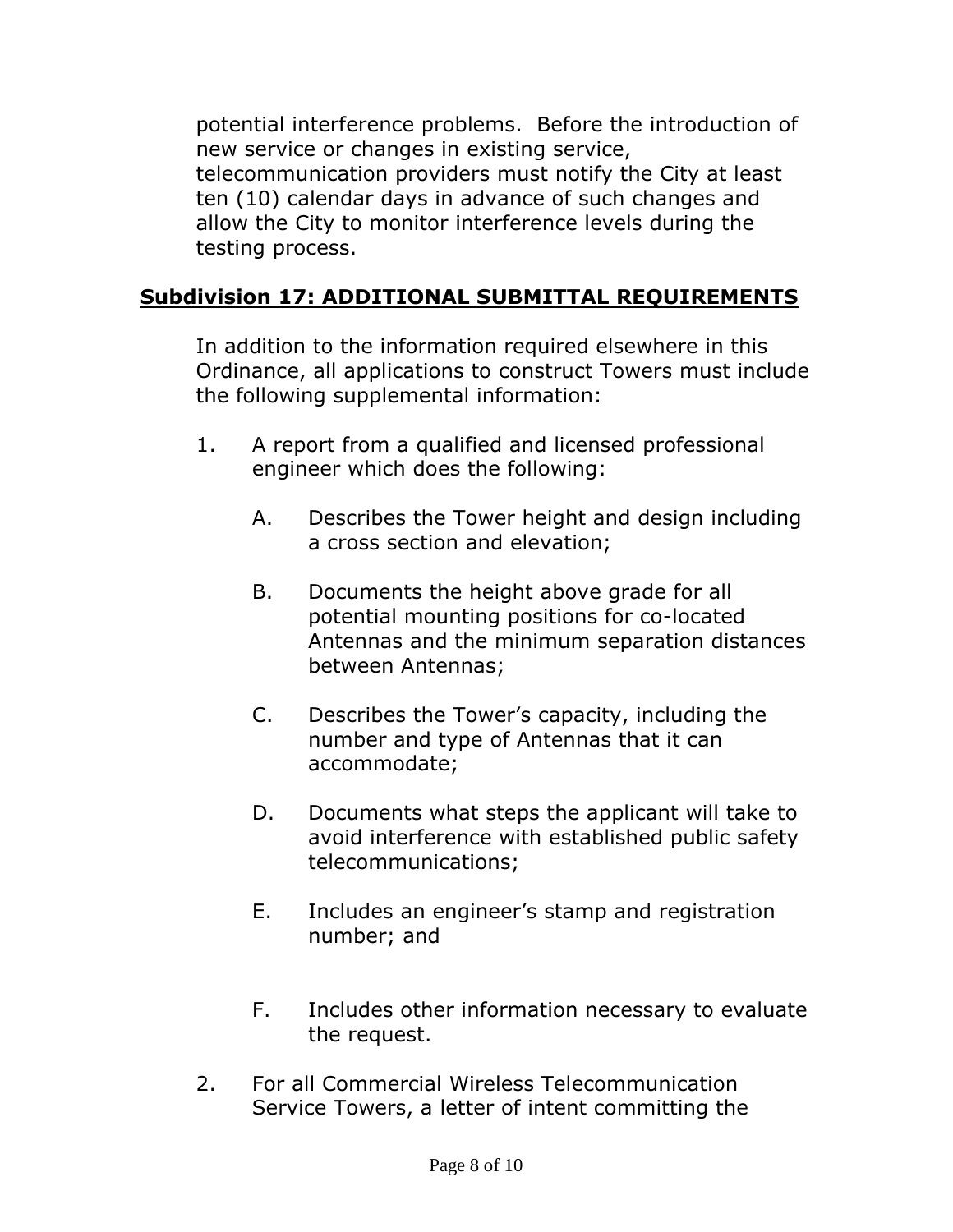potential interference problems. Before the introduction of new service or changes in existing service, telecommunication providers must notify the City at least ten (10) calendar days in advance of such changes and allow the City to monitor interference levels during the testing process.

## **Subdivision 17: ADDITIONAL SUBMITTAL REQUIREMENTS**

In addition to the information required elsewhere in this Ordinance, all applications to construct Towers must include the following supplemental information:

- 1. A report from a qualified and licensed professional engineer which does the following:
	- A. Describes the Tower height and design including a cross section and elevation;
	- B. Documents the height above grade for all potential mounting positions for co-located Antennas and the minimum separation distances between Antennas;
	- C. Describes the Tower's capacity, including the number and type of Antennas that it can accommodate;
	- D. Documents what steps the applicant will take to avoid interference with established public safety telecommunications;
	- E. Includes an engineer's stamp and registration number; and
	- F. Includes other information necessary to evaluate the request.
- 2. For all Commercial Wireless Telecommunication Service Towers, a letter of intent committing the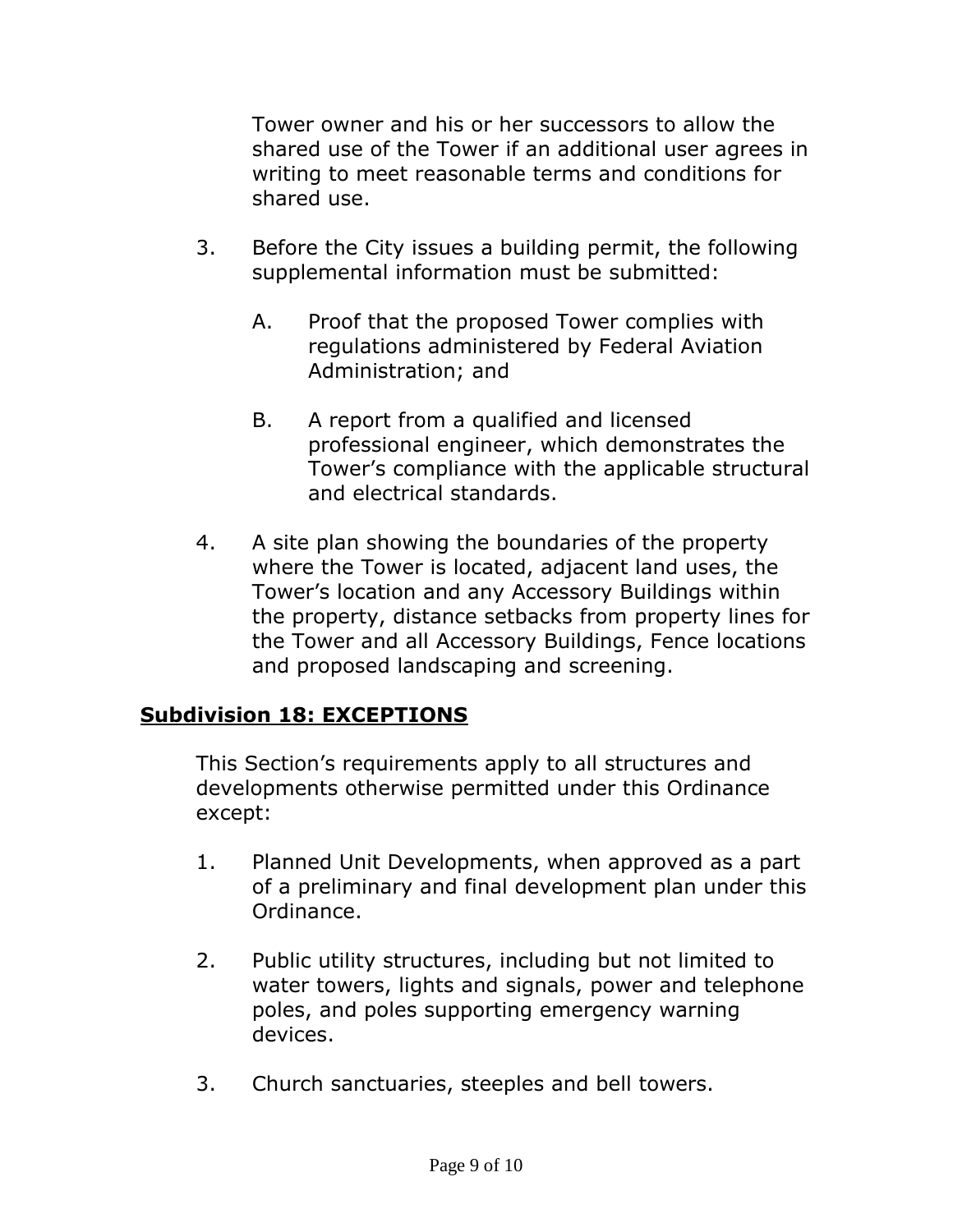Tower owner and his or her successors to allow the shared use of the Tower if an additional user agrees in writing to meet reasonable terms and conditions for shared use.

- 3. Before the City issues a building permit, the following supplemental information must be submitted:
	- A. Proof that the proposed Tower complies with regulations administered by Federal Aviation Administration; and
	- B. A report from a qualified and licensed professional engineer, which demonstrates the Tower's compliance with the applicable structural and electrical standards.
- 4. A site plan showing the boundaries of the property where the Tower is located, adjacent land uses, the Tower's location and any Accessory Buildings within the property, distance setbacks from property lines for the Tower and all Accessory Buildings, Fence locations and proposed landscaping and screening.

## **Subdivision 18: EXCEPTIONS**

This Section's requirements apply to all structures and developments otherwise permitted under this Ordinance except:

- 1. Planned Unit Developments, when approved as a part of a preliminary and final development plan under this Ordinance.
- 2. Public utility structures, including but not limited to water towers, lights and signals, power and telephone poles, and poles supporting emergency warning devices.
- 3. Church sanctuaries, steeples and bell towers.